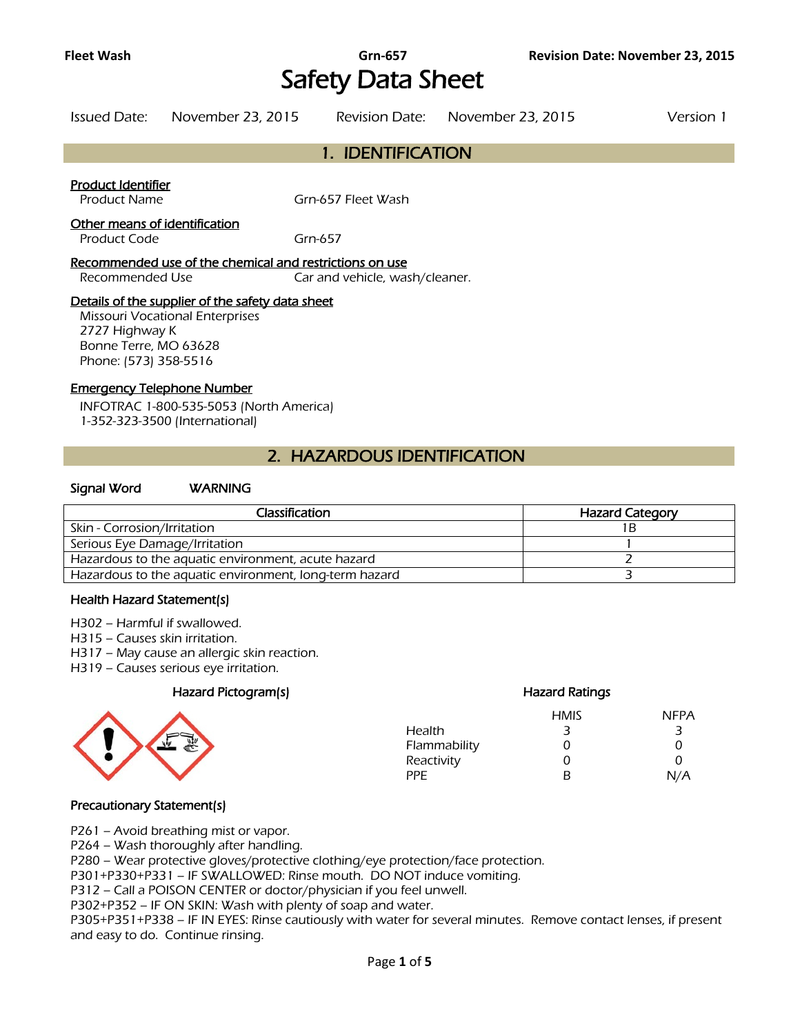# Safety Data Sheet

| Issued Date: November 23, 2015 | Revision Date: November 23, 2015 | Version 1 |
|--------------------------------|----------------------------------|-----------|

### 1. IDENTIFICATION

#### Product Identifier

Product Name Grn-657 Fleet Wash

#### Other means of identification

Product Code Grn-657

#### Recommended use of the chemical and restrictions on use

Recommended Use Car and vehicle, wash/cleaner.

#### Details of the supplier of the safety data sheet

Missouri Vocational Enterprises 2727 Highway K Bonne Terre, MO 63628 Phone: (573) 358-5516

#### Emergency Telephone Number

INFOTRAC 1-800-535-5053 (North America) 1-352-323-3500 (International)

### 2. HAZARDOUS IDENTIFICATION

#### Signal Word WARNING

| Classification                                         | <b>Hazard Category</b> |
|--------------------------------------------------------|------------------------|
| Skin - Corrosion/Irritation                            |                        |
| Serious Eye Damage/Irritation                          |                        |
| Hazardous to the aquatic environment, acute hazard     |                        |
| Hazardous to the aquatic environment, long-term hazard |                        |
|                                                        |                        |

#### Health Hazard Statement(s)

- H302 Harmful if swallowed.
- H315 Causes skin irritation.
- H317 May cause an allergic skin reaction.
- H319 Causes serious eye irritation.

#### Hazard Pictogram(s) Hazard Ratings



## HMIS NFPA

|              | .  | .   |
|--------------|----|-----|
| Health       | 3  | 3   |
| Flammability | O) | Ω   |
| Reactivity   | O  | O   |
| PPF          | R  | N/A |
|              |    |     |

#### Precautionary Statement(s)

P261 – Avoid breathing mist or vapor.

P264 – Wash thoroughly after handling.

P280 – Wear protective gloves/protective clothing/eye protection/face protection.

P301+P330+P331 – IF SWALLOWED: Rinse mouth. DO NOT induce vomiting.

P312 – Call a POISON CENTER or doctor/physician if you feel unwell.

P302+P352 – IF ON SKIN: Wash with plenty of soap and water.

P305+P351+P338 – IF IN EYES: Rinse cautiously with water for several minutes. Remove contact lenses, if present and easy to do. Continue rinsing.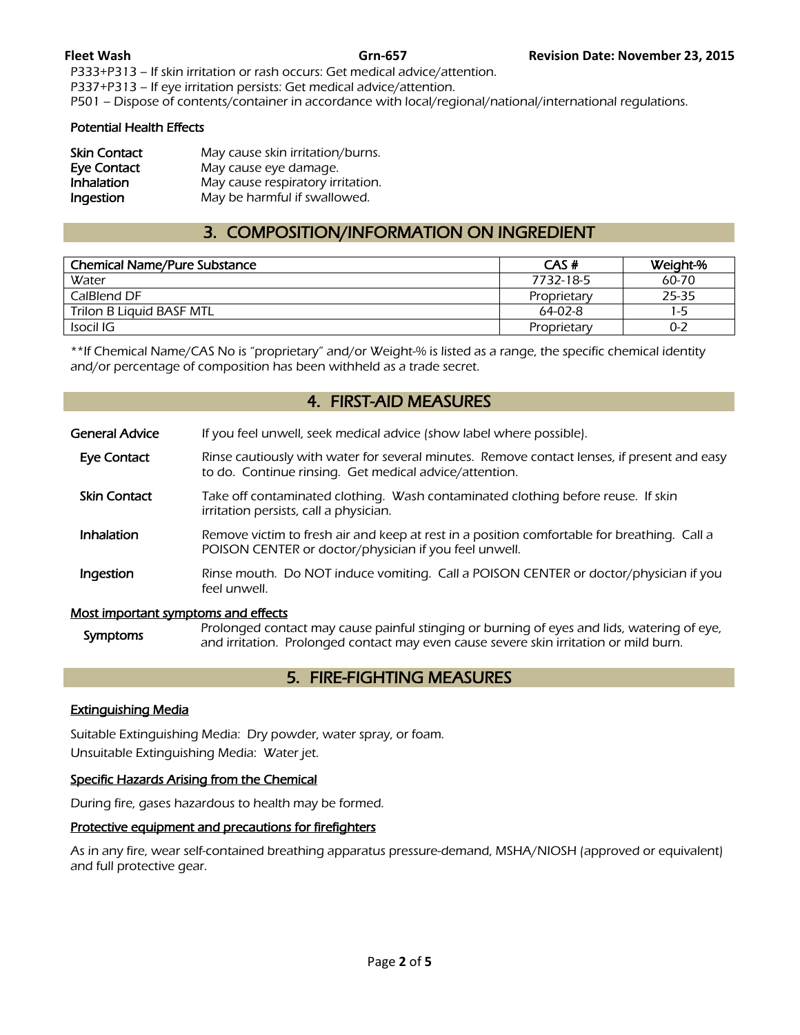P333+P313 – If skin irritation or rash occurs: Get medical advice/attention.

P337+P313 – If eye irritation persists: Get medical advice/attention.

P501 – Dispose of contents/container in accordance with local/regional/national/international regulations.

#### Potential Health Effects

| <b>Skin Contact</b> | May cause skin irritation/burns.  |
|---------------------|-----------------------------------|
| <b>Eye Contact</b>  | May cause eye damage.             |
| Inhalation          | May cause respiratory irritation. |
| Ingestion           | May be harmful if swallowed.      |

### 3. COMPOSITION/INFORMATION ON INGREDIENT

| <b>Chemical Name/Pure Substance</b> | CAS#        | Weight-% |
|-------------------------------------|-------------|----------|
| Water                               | 7732-18-5   | 60-70    |
| CalBlend DF                         | Proprietary | 25-35    |
| Trilon B Liquid BASF MTL            | $64-02-8$   | $1 - 5$  |
| Isocil IG                           | Proprietary | $0 - 2$  |

\*\*If Chemical Name/CAS No is "proprietary" and/or Weight-% is listed as a range, the specific chemical identity and/or percentage of composition has been withheld as a trade secret.

### 4. FIRST-AID MEASURES

| <b>General Advice</b>                      | If you feel unwell, seek medical advice (show label where possible).                                                                                  |
|--------------------------------------------|-------------------------------------------------------------------------------------------------------------------------------------------------------|
| Eye Contact                                | Rinse cautiously with water for several minutes. Remove contact lenses, if present and easy<br>to do. Continue rinsing. Get medical advice/attention. |
| <b>Skin Contact</b>                        | Take off contaminated clothing. Wash contaminated clothing before reuse. If skin<br>irritation persists, call a physician.                            |
| Inhalation                                 | Remove victim to fresh air and keep at rest in a position comfortable for breathing. Call a<br>POISON CENTER or doctor/physician if you feel unwell.  |
| Ingestion                                  | Rinse mouth. Do NOT induce vomiting. Call a POISON CENTER or doctor/physician if you<br>feel unwell.                                                  |
| <u>Most important symptoms and effects</u> |                                                                                                                                                       |

Symptoms Prolonged contact may cause painful stinging or burning of eyes and lids, watering of eye,<br>Symptoms and irritation. Prolonged contact may over saves soves skip irritation or mild burn and irritation. Prolonged contact may even cause severe skin irritation or mild burn.

### 5. FIRE-FIGHTING MEASURES

#### Extinguishing Media

Suitable Extinguishing Media: Dry powder, water spray, or foam. Unsuitable Extinguishing Media: Water jet.

#### Specific Hazards Arising from the Chemical

During fire, gases hazardous to health may be formed.

#### Protective equipment and precautions for firefighters

As in any fire, wear self-contained breathing apparatus pressure-demand, MSHA/NIOSH (approved or equivalent) and full protective gear.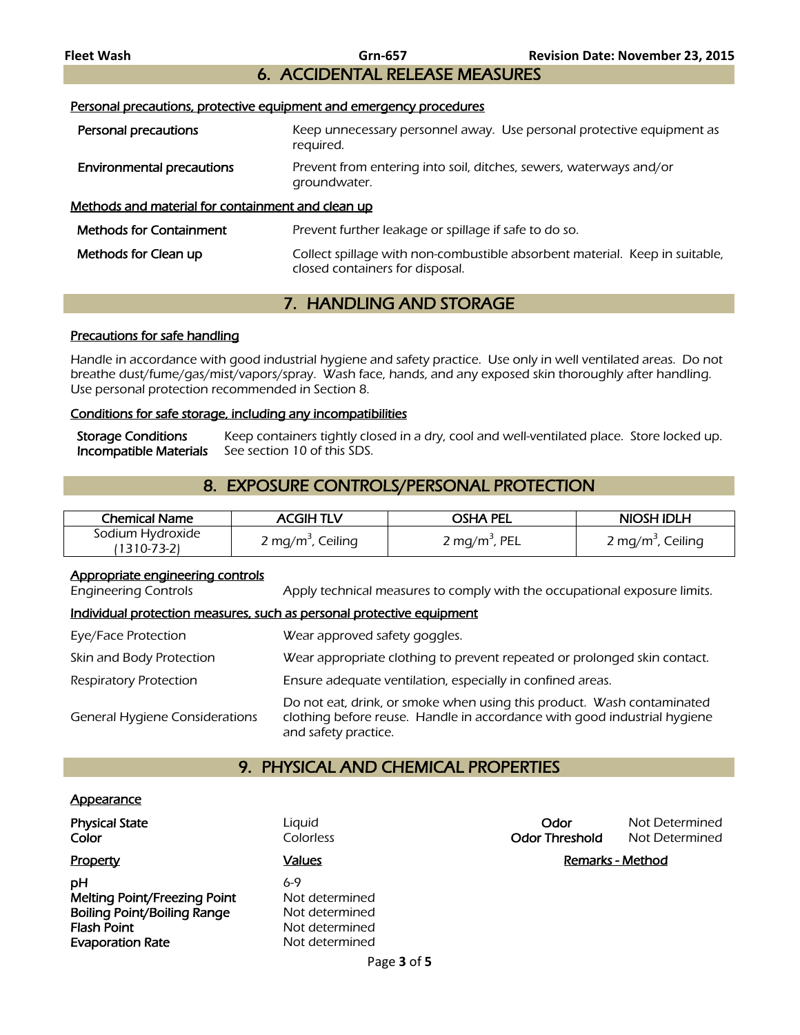### 6. ACCIDENTAL RELEASE MEASURES

Personal precautions, protective equipment and emergency procedures

| Personal precautions                              | Keep unnecessary personnel away. Use personal protective equipment as<br>reguired.                             |
|---------------------------------------------------|----------------------------------------------------------------------------------------------------------------|
| <b>Environmental precautions</b>                  | Prevent from entering into soil, ditches, sewers, waterways and/or<br>groundwater.                             |
| Methods and material for containment and clean up |                                                                                                                |
| <b>Methods for Containment</b>                    | Prevent further leakage or spillage if safe to do so.                                                          |
| Methods for Clean up                              | Collect spillage with non-combustible absorbent material. Keep in suitable,<br>closed containers for disposal. |

### 7. HANDLING AND STORAGE

### Precautions for safe handling

Handle in accordance with good industrial hygiene and safety practice. Use only in well ventilated areas. Do not breathe dust/fume/gas/mist/vapors/spray. Wash face, hands, and any exposed skin thoroughly after handling. Use personal protection recommended in Section 8.

### Conditions for safe storage, including any incompatibilities

Storage Conditions Keep containers tightly closed in a dry, cool and well-ventilated place. Store locked up.<br>Incompatible Materials See section 10 of this SDS. See section 10 of this SDS.

### 8. EXPOSURE CONTROLS/PERSONAL PROTECTION

| <b>Chemical Name</b>            | <b>ACGIHTLV</b>               | osha pel                  | NIOSH IDLH                    |
|---------------------------------|-------------------------------|---------------------------|-------------------------------|
| Sodium Hydroxide<br>(1310-73-2) | 2 mg/m <sup>3</sup> , Ceiling | 2 mg/m <sup>3</sup> , PEL | 2 mg/m <sup>3</sup> , Ceiling |

#### Appropriate engineering controls

Engineering Controls Apply technical measures to comply with the occupational exposure limits.

### Individual protection measures, such as personal protective equipment

| Eye/Face Protection                   | Wear approved safety goggles.                                                                                                                                              |
|---------------------------------------|----------------------------------------------------------------------------------------------------------------------------------------------------------------------------|
| Skin and Body Protection              | Wear appropriate clothing to prevent repeated or prolonged skin contact.                                                                                                   |
| <b>Respiratory Protection</b>         | Ensure adequate ventilation, especially in confined areas.                                                                                                                 |
| <b>General Hygiene Considerations</b> | Do not eat, drink, or smoke when using this product. Wash contaminated<br>clothing before reuse. Handle in accordance with good industrial hygiene<br>and safety practice. |

### 9. PHYSICAL AND CHEMICAL PROPERTIES

#### **Appearance**

| <b>Physical State</b><br>Color      | Liguid<br>Colorless | Odor<br><b>Odor Threshold</b> | Not Determined<br>Not Determined |
|-------------------------------------|---------------------|-------------------------------|----------------------------------|
| Property                            | <u>Values</u>       |                               | Remarks - Method                 |
| pН                                  | $6-9$               |                               |                                  |
| <b>Melting Point/Freezing Point</b> | Not determined      |                               |                                  |
| <b>Boiling Point/Boiling Range</b>  | Not determined      |                               |                                  |
| <b>Flash Point</b>                  | Not determined      |                               |                                  |
| <b>Evaporation Rate</b>             | Not determined      |                               |                                  |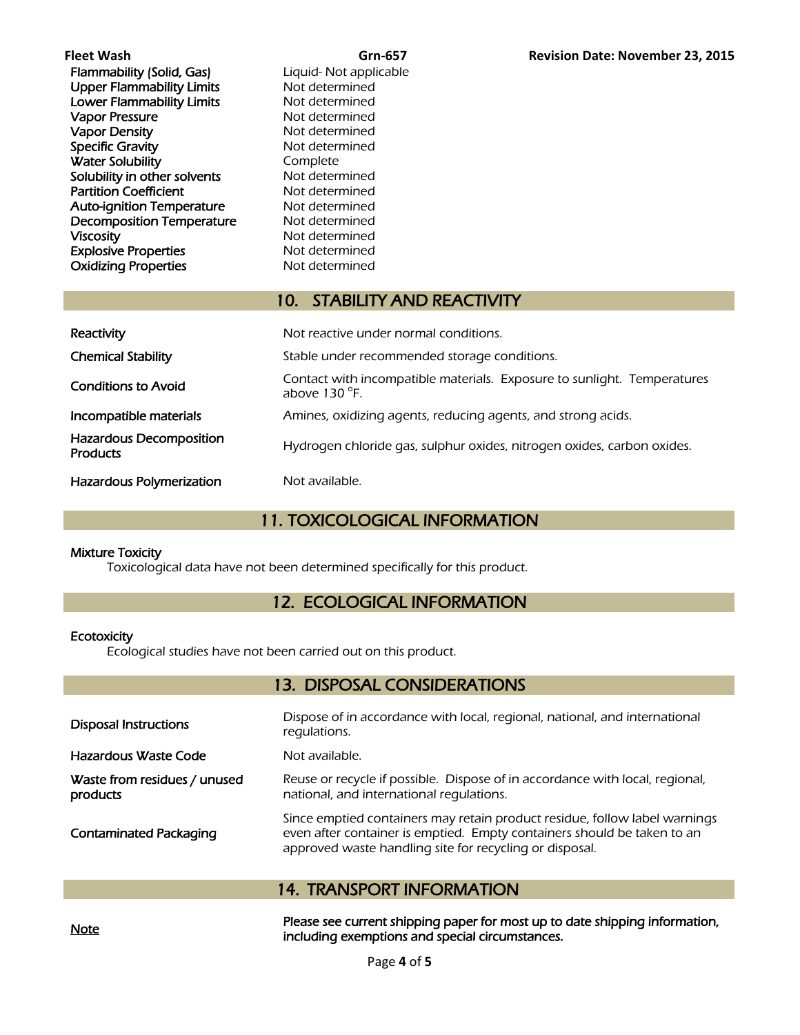| Fleet Wash                       | Grn-657                                                      | <b>Revision Date: November 23, 2015</b>                                 |
|----------------------------------|--------------------------------------------------------------|-------------------------------------------------------------------------|
| Flammability (Solid, Gas)        | Liquid- Not applicable                                       |                                                                         |
| <b>Upper Flammability Limits</b> | Not determined                                               |                                                                         |
| Lower Flammability Limits        | Not determined                                               |                                                                         |
| <b>Vapor Pressure</b>            | Not determined                                               |                                                                         |
| <b>Vapor Density</b>             | Not determined                                               |                                                                         |
| <b>Specific Gravity</b>          | Not determined                                               |                                                                         |
| <b>Water Solubility</b>          | Complete                                                     |                                                                         |
| Solubility in other solvents     | Not determined                                               |                                                                         |
| <b>Partition Coefficient</b>     | Not determined                                               |                                                                         |
| <b>Auto-ignition Temperature</b> | Not determined                                               |                                                                         |
| <b>Decomposition Temperature</b> | Not determined                                               |                                                                         |
| <b>Viscosity</b>                 | Not determined                                               |                                                                         |
| <b>Explosive Properties</b>      | Not determined                                               |                                                                         |
| <b>Oxidizing Properties</b>      | Not determined                                               |                                                                         |
|                                  |                                                              |                                                                         |
|                                  | <b>STABILITY AND REACTIVITY</b><br>10.                       |                                                                         |
|                                  |                                                              |                                                                         |
| Reactivity                       | Not reactive under normal conditions.                        |                                                                         |
| <b>Chemical Stability</b>        | Stable under recommended storage conditions.                 |                                                                         |
| <b>Conditions to Avoid</b>       | above $130^{\circ}$ F.                                       | Contact with incompatible materials. Exposure to sunlight. Temperatures |
| Incompatible materials           | Amines, oxidizing agents, reducing agents, and strong acids. |                                                                         |

### Hazardous Polymerization Not available.

### 11. TOXICOLOGICAL INFORMATION

Hydrogen chloride gas, sulphur oxides, nitrogen oxides, carbon oxides.

### Mixture Toxicity

Hazardous Decomposition

Toxicological data have not been determined specifically for this product.

### 12. ECOLOGICAL INFORMATION

#### **Ecotoxicity**

Ecological studies have not been carried out on this product.

### 13. DISPOSAL CONSIDERATIONS

| <b>Disposal Instructions</b>             | Dispose of in accordance with local, regional, national, and international<br>regulations.                                                                                                                       |
|------------------------------------------|------------------------------------------------------------------------------------------------------------------------------------------------------------------------------------------------------------------|
| Hazardous Waste Code                     | Not available.                                                                                                                                                                                                   |
| Waste from residues / unused<br>products | Reuse or recycle if possible. Dispose of in accordance with local, regional,<br>national, and international requlations.                                                                                         |
| <b>Contaminated Packaging</b>            | Since emptied containers may retain product residue, follow label warnings<br>even after container is emptied. Empty containers should be taken to an<br>approved waste handling site for recycling or disposal. |

### 14. TRANSPORT INFORMATION

Please see current shipping paper for most up to date shipping information,<br>Note including exemptions and special circumstances.